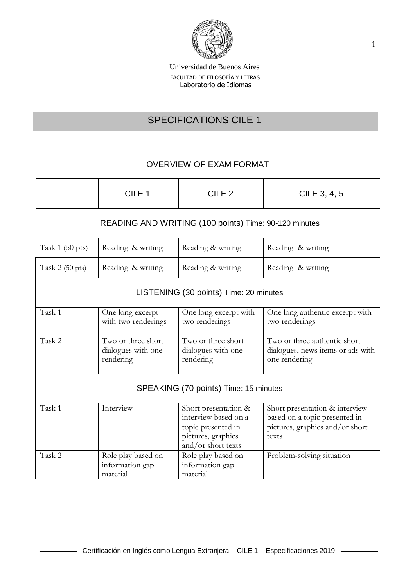

# SPECIFICATIONS CILE 1

| <b>OVERVIEW OF EXAM FORMAT</b>                        |                                                       |                                                                                                                |                                                                                                             |  |
|-------------------------------------------------------|-------------------------------------------------------|----------------------------------------------------------------------------------------------------------------|-------------------------------------------------------------------------------------------------------------|--|
|                                                       | CILE <sub>1</sub>                                     | CILE <sub>2</sub>                                                                                              | CILE 3, 4, 5                                                                                                |  |
| READING AND WRITING (100 points) Time: 90-120 minutes |                                                       |                                                                                                                |                                                                                                             |  |
| Task $1(50 \text{ pts})$                              | Reading & writing                                     | Reading & writing                                                                                              | Reading & writing                                                                                           |  |
| Task $2(50 \text{ pts})$                              | Reading & writing                                     | Reading & writing                                                                                              | Reading & writing                                                                                           |  |
| LISTENING (30 points) Time: 20 minutes                |                                                       |                                                                                                                |                                                                                                             |  |
| Task 1                                                | One long excerpt<br>with two renderings               | One long excerpt with<br>two renderings                                                                        | One long authentic excerpt with<br>two renderings                                                           |  |
| Task 2                                                | Two or three short<br>dialogues with one<br>rendering | Two or three short<br>dialogues with one<br>rendering                                                          | Two or three authentic short<br>dialogues, news items or ads with<br>one rendering                          |  |
| SPEAKING (70 points) Time: 15 minutes                 |                                                       |                                                                                                                |                                                                                                             |  |
| Task 1                                                | Interview                                             | Short presentation &<br>interview based on a<br>topic presented in<br>pictures, graphics<br>and/or short texts | Short presentation & interview<br>based on a topic presented in<br>pictures, graphics and/or short<br>texts |  |
| Task 2                                                | Role play based on<br>information gap<br>material     | Role play based on<br>information gap<br>material                                                              | Problem-solving situation                                                                                   |  |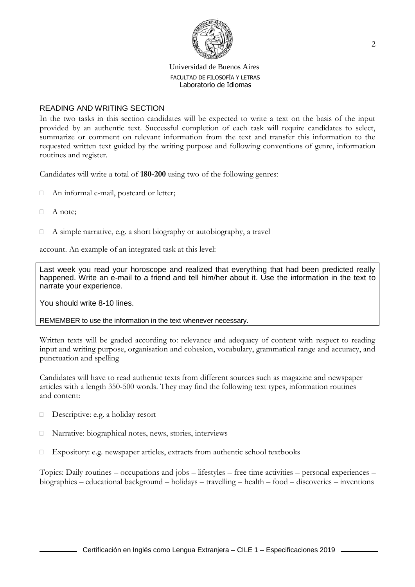

## READING AND WRITING SECTION

In the two tasks in this section candidates will be expected to write a text on the basis of the input provided by an authentic text. Successful completion of each task will require candidates to select, summarize or comment on relevant information from the text and transfer this information to the requested written text guided by the writing purpose and following conventions of genre, information routines and register.

Candidates will write a total of **180-200** using two of the following genres:

- An informal e-mail, postcard or letter;
- $A$  note:
- $\Box$  A simple narrative, e.g. a short biography or autobiography, a travel

account. An example of an integrated task at this level:

Last week you read your horoscope and realized that everything that had been predicted really happened. Write an e-mail to a friend and tell him/her about it. Use the information in the text to narrate your experience.

You should write 8-10 lines.

REMEMBER to use the information in the text whenever necessary.

Written texts will be graded according to: relevance and adequacy of content with respect to reading input and writing purpose, organisation and cohesion, vocabulary, grammatical range and accuracy, and punctuation and spelling

Candidates will have to read authentic texts from different sources such as magazine and newspaper articles with a length 350-500 words. They may find the following text types, information routines and content:

- Descriptive: e.g. a holiday resort
- Narrative: biographical notes, news, stories, interviews
- $\Box$  Expository: e.g. newspaper articles, extracts from authentic school textbooks

Topics: Daily routines – occupations and jobs – lifestyles – free time activities – personal experiences – biographies – educational background – holidays – travelling – health – food – discoveries – inventions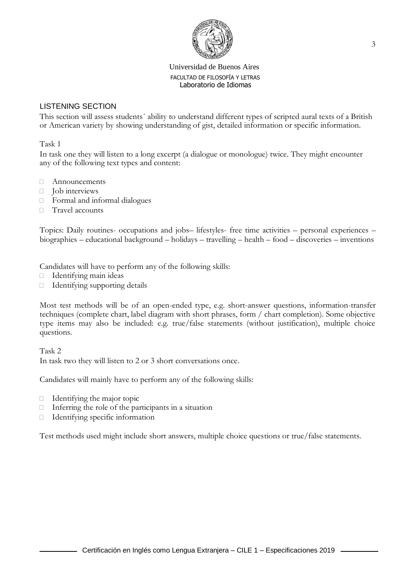

# LISTENING SECTION

This section will assess students´ ability to understand different types of scripted aural texts of a British or American variety by showing understanding of gist, detailed information or specific information.

Task 1

In task one they will listen to a long excerpt (a dialogue or monologue) twice. They might encounter any of the following text types and content:

- Announcements
- $\Box$  Job interviews
- Formal and informal dialogues
- □ Travel accounts

Topics: Daily routines- occupations and jobs– lifestyles- free time activities – personal experiences – biographies – educational background – holidays – travelling – health – food – discoveries – inventions

Candidates will have to perform any of the following skills:

- $\Box$  Identifying main ideas
- Identifying supporting details

Most test methods will be of an open-ended type, e.g. short-answer questions, information-transfer techniques (complete chart, label diagram with short phrases, form / chart completion). Some objective type items may also be included: e.g. true/false statements (without justification), multiple choice questions.

Task 2 In task two they will listen to 2 or 3 short conversations once.

Candidates will mainly have to perform any of the following skills:

- $\Box$  Identifying the major topic
- $\Box$  Inferring the role of the participants in a situation
- Identifying specific information

Test methods used might include short answers, multiple choice questions or true/false statements.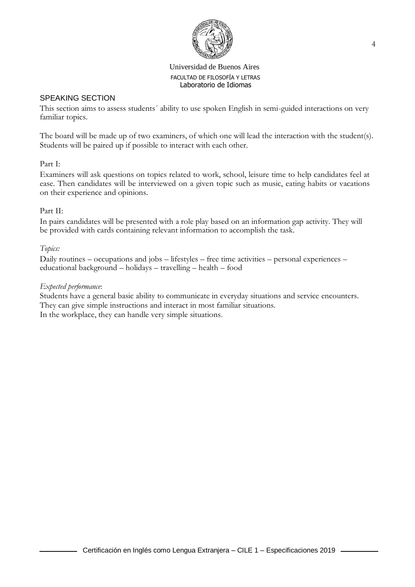

## SPEAKING SECTION

This section aims to assess students´ ability to use spoken English in semi-guided interactions on very familiar topics.

The board will be made up of two examiners, of which one will lead the interaction with the student(s). Students will be paired up if possible to interact with each other.

## Part I:

Examiners will ask questions on topics related to work, school, leisure time to help candidates feel at ease. Then candidates will be interviewed on a given topic such as music, eating habits or vacations on their experience and opinions.

# Part II:

In pairs candidates will be presented with a role play based on an information gap activity. They will be provided with cards containing relevant information to accomplish the task.

# *Topics:*

Daily routines – occupations and jobs – lifestyles – free time activities – personal experiences – educational background – holidays – travelling – health – food

## *Expected performance*:

Students have a general basic ability to communicate in everyday situations and service encounters. They can give simple instructions and interact in most familiar situations. In the workplace, they can handle very simple situations.